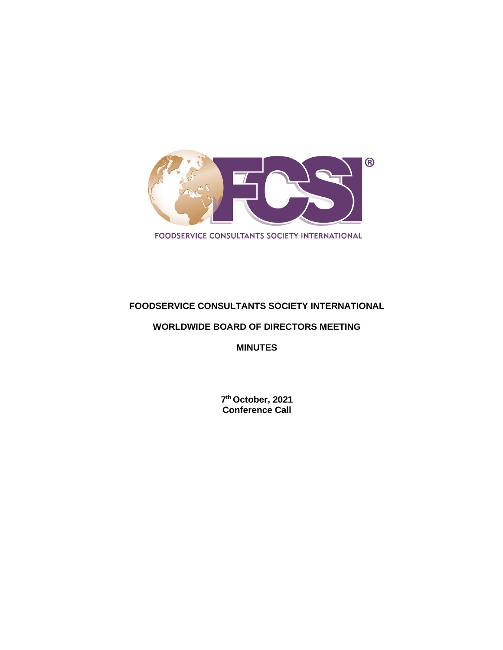

# **FOODSERVICE CONSULTANTS SOCIETY INTERNATIONAL**

### **WORLDWIDE BOARD OF DIRECTORS MEETING**

**MINUTES**

**7th October, 2021 Conference Call**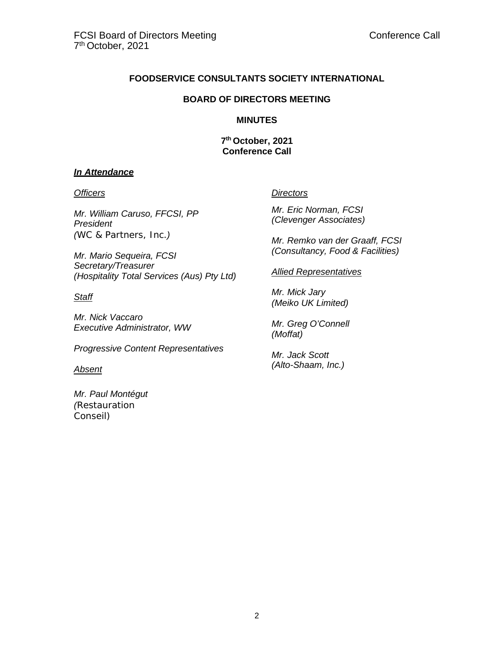### **FOODSERVICE CONSULTANTS SOCIETY INTERNATIONAL**

#### **BOARD OF DIRECTORS MEETING**

#### **MINUTES**

**7th October, 2021 Conference Call**

#### *In Attendance*

*Mr. William Caruso, FFCSI, PP President (WC & Partners, Inc.)*

*Mr. Mario Sequeira, FCSI Secretary/Treasurer (Hospitality Total Services (Aus) Pty Ltd)*

# *Staff*

*Mr. Nick Vaccaro Executive Administrator, WW*

*Progressive Content Representatives*

#### *Absent*

*Mr. Paul Montégut (Restauration Conseil)*

#### *Officers Directors*

*Mr. Eric Norman, FCSI (Clevenger Associates)*

*Mr. Remko van der Graaff, FCSI (Consultancy, Food & Facilities)*

*Allied Representatives*

*Mr. Mick Jary (Meiko UK Limited)*

*Mr. Greg O'Connell (Moffat)*

*Mr. Jack Scott (Alto-Shaam, Inc.)*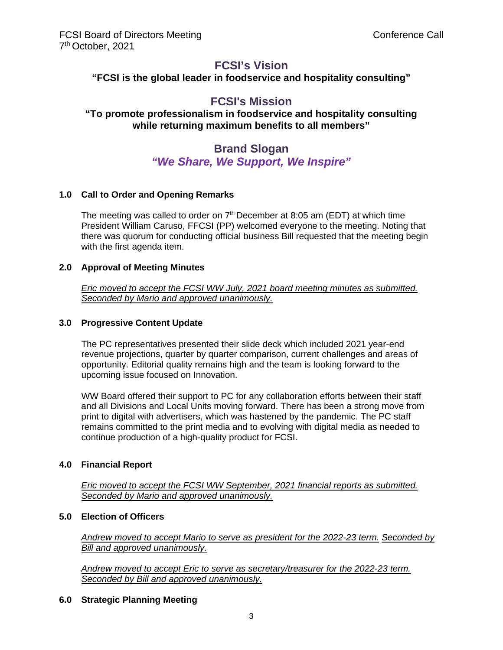# **FCSI's Vision**

**"FCSI is the global leader in foodservice and hospitality consulting"**

# **FCSI's Mission**

# **"To promote professionalism in foodservice and hospitality consulting while returning maximum benefits to all members"**

# **Brand Slogan** *"We Share, We Support, We Inspire"*

# **1.0 Call to Order and Opening Remarks**

The meeting was called to order on  $7<sup>th</sup>$  December at 8:05 am (EDT) at which time President William Caruso, FFCSI (PP) welcomed everyone to the meeting. Noting that there was quorum for conducting official business Bill requested that the meeting begin with the first agenda item.

#### **2.0 Approval of Meeting Minutes**

*Eric moved to accept the FCSI WW July, 2021 board meeting minutes as submitted. Seconded by Mario and approved unanimously.*

#### **3.0 Progressive Content Update**

The PC representatives presented their slide deck which included 2021 year-end revenue projections, quarter by quarter comparison, current challenges and areas of opportunity. Editorial quality remains high and the team is looking forward to the upcoming issue focused on Innovation.

WW Board offered their support to PC for any collaboration efforts between their staff and all Divisions and Local Units moving forward. There has been a strong move from print to digital with advertisers, which was hastened by the pandemic. The PC staff remains committed to the print media and to evolving with digital media as needed to continue production of a high-quality product for FCSI.

#### **4.0 Financial Report**

*Eric moved to accept the FCSI WW September, 2021 financial reports as submitted. Seconded by Mario and approved unanimously.*

#### **5.0 Election of Officers**

*Andrew moved to accept Mario to serve as president for the 2022-23 term. Seconded by Bill and approved unanimously.*

*Andrew moved to accept Eric to serve as secretary/treasurer for the 2022-23 term. Seconded by Bill and approved unanimously.*

#### **6.0 Strategic Planning Meeting**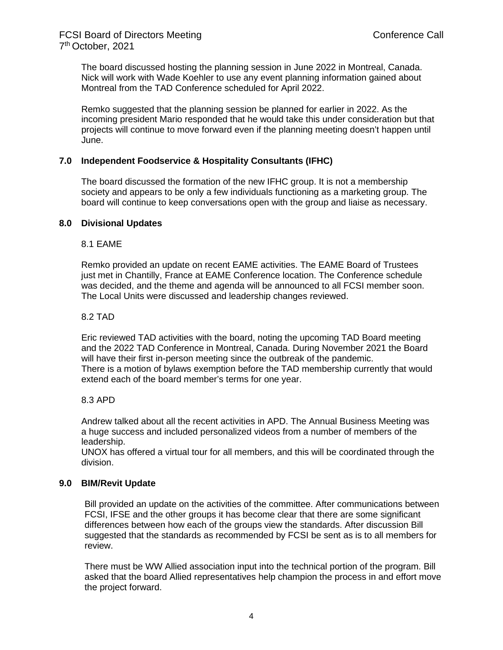The board discussed hosting the planning session in June 2022 in Montreal, Canada. Nick will work with Wade Koehler to use any event planning information gained about Montreal from the TAD Conference scheduled for April 2022.

Remko suggested that the planning session be planned for earlier in 2022. As the incoming president Mario responded that he would take this under consideration but that projects will continue to move forward even if the planning meeting doesn't happen until June.

#### **7.0 Independent Foodservice & Hospitality Consultants (IFHC)**

The board discussed the formation of the new IFHC group. It is not a membership society and appears to be only a few individuals functioning as a marketing group. The board will continue to keep conversations open with the group and liaise as necessary.

#### **8.0 Divisional Updates**

#### 8.1 EAME

Remko provided an update on recent EAME activities. The EAME Board of Trustees just met in Chantilly, France at EAME Conference location. The Conference schedule was decided, and the theme and agenda will be announced to all FCSI member soon. The Local Units were discussed and leadership changes reviewed.

#### 8.2 TAD

Eric reviewed TAD activities with the board, noting the upcoming TAD Board meeting and the 2022 TAD Conference in Montreal, Canada. During November 2021 the Board will have their first in-person meeting since the outbreak of the pandemic. There is a motion of bylaws exemption before the TAD membership currently that would extend each of the board member's terms for one year.

#### 8.3 APD

Andrew talked about all the recent activities in APD. The Annual Business Meeting was a huge success and included personalized videos from a number of members of the leadership.

UNOX has offered a virtual tour for all members, and this will be coordinated through the division.

#### **9.0 BIM/Revit Update**

Bill provided an update on the activities of the committee. After communications between FCSI, IFSE and the other groups it has become clear that there are some significant differences between how each of the groups view the standards. After discussion Bill suggested that the standards as recommended by FCSI be sent as is to all members for review.

There must be WW Allied association input into the technical portion of the program. Bill asked that the board Allied representatives help champion the process in and effort move the project forward.